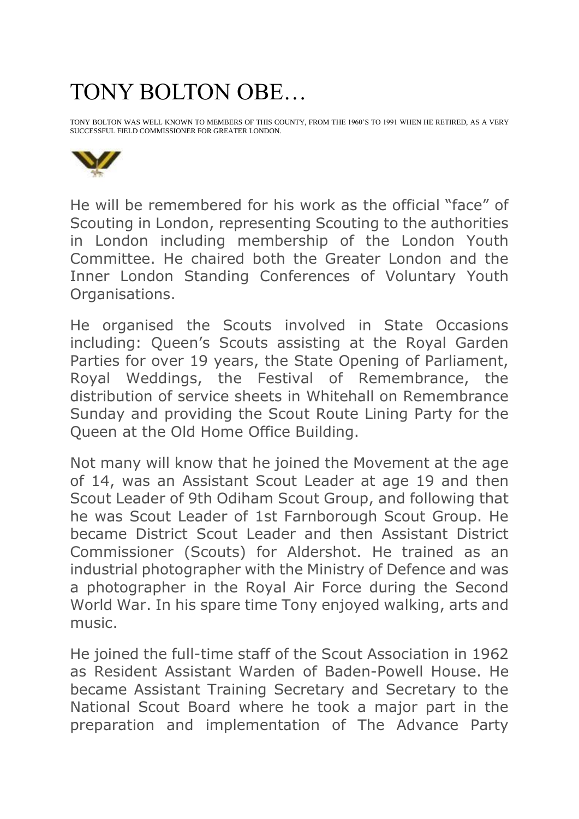## TONY BOLTON OBE…

TONY BOLTON WAS WELL KNOWN TO MEMBERS OF THIS COUNTY, FROM THE 1960'S TO 1991 WHEN HE RETIRED, AS A VERY SUCCESSFUL FIELD COMMISSIONER FOR GREATER LONDON.



He will be remembered for his work as the official "face" of Scouting in London, representing Scouting to the authorities in London including membership of the London Youth Committee. He chaired both the Greater London and the Inner London Standing Conferences of Voluntary Youth Organisations.

He organised the Scouts involved in State Occasions including: Queen's Scouts assisting at the Royal Garden Parties for over 19 years, the State Opening of Parliament, Royal Weddings, the Festival of Remembrance, the distribution of service sheets in Whitehall on Remembrance Sunday and providing the Scout Route Lining Party for the Queen at the Old Home Office Building.

Not many will know that he joined the Movement at the age of 14, was an Assistant Scout Leader at age 19 and then Scout Leader of 9th Odiham Scout Group, and following that he was Scout Leader of 1st Farnborough Scout Group. He became District Scout Leader and then Assistant District Commissioner (Scouts) for Aldershot. He trained as an industrial photographer with the Ministry of Defence and was a photographer in the Royal Air Force during the Second World War. In his spare time Tony enjoyed walking, arts and music.

He joined the full-time staff of the Scout Association in 1962 as Resident Assistant Warden of Baden-Powell House. He became Assistant Training Secretary and Secretary to the National Scout Board where he took a major part in the preparation and implementation of The Advance Party